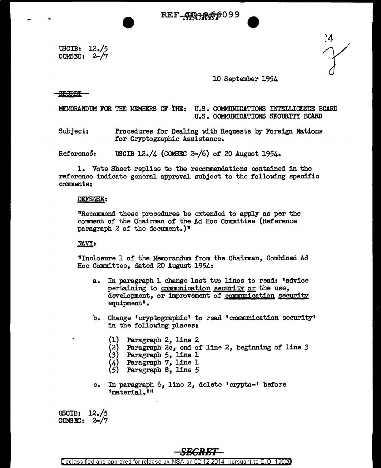**.REF\_4D<del>?</del>&%6099** 

USCIB: 12./5 COMSEC: 2-/7

`4<br>'Y

## 10 September 1954

 $\theta$ Borbt

MEMORANDUM FOR THE MEMBERS OF THE: U.S. COMMUNICATIONS INTELLIGENCE BOARD U.S. COMMUNICATIONS SECURITY BOARD

Subject: Procedures for Dealing with Requests by Foreign Nations for Cryptographic Assistance.

Refereno&: USCIB 12./4 (COM3EC 2-/6) or 20 August 1954.

1. Vote Sheet replies to the recommendations contained in the reference indicate general approval subject to the following specific comments:

## DEFENSE:

"Recommend these procedures be extended to apply as per the comment of the Chairman or the Ad Hoc Committee (Reference paragraph  $2$  of the document.)<sup>"</sup>

## **NAVY:**

"Inclosure 1 of the Memorandtnn from the Chairman, Combined Ad Hoc Committee, dated 20 August 1954:

- a. In paragraph 1 change last two lines to read: 'advice pertaining to communication security or the use, development, or improvement of communication security equipment' •
- b. Change 'cryptographic' to read 'communication security' in the following places:
	- (1) Paragraph 2, line 2
	- (2) Paragraph 2c, end of line 2, beginning *of* line *3*
	- (3) Paragraph 5, line 1
	- Paragraph 7, line 1
	- Paragraph 8, line 5
- c. In paragraph 6, line 2, delete 'crypto-' before •material.'"

USCIB: 12./5 COM3ID: 2-/7

# *SECRET*

Declassified and approved for release by NSA on 02-12-2014 pursuant to E. 0. 1352B